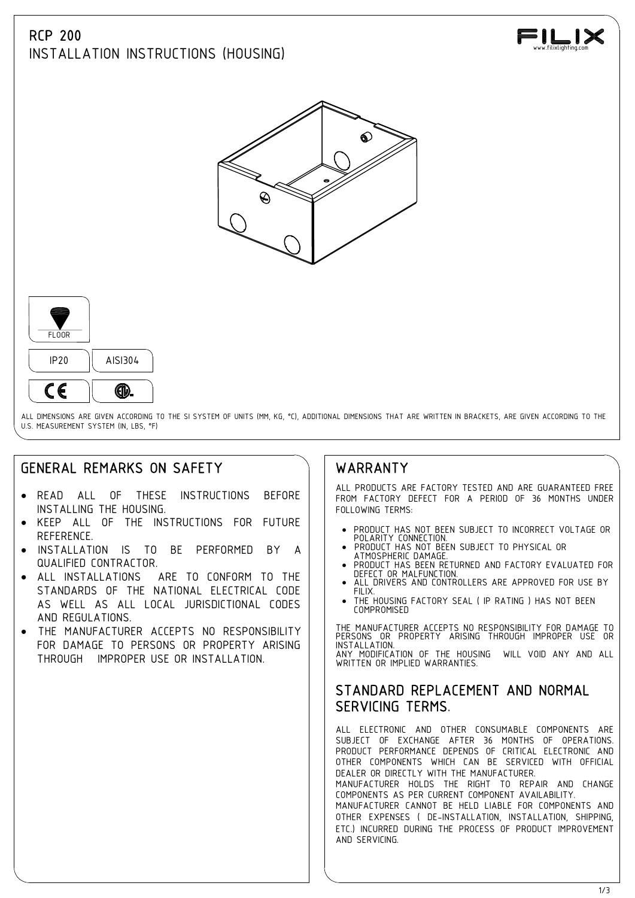## RCP 200

INSTALLATION INSTRUCTIONS (HOUSING)







ALL DIMENSIONS ARE GIVEN ACCORDING TO THE SI SYSTEM OF UNITS (MM, KG, °C), ADDITIONAL DIMENSIONS THAT ARE WRITTEN IN BRACKETS, ARE GIVEN ACCORDING TO THE U.S. MEASUREMENT SYSTEM (IN, LBS, °F)

# GENERAL REMARKS ON SAFETY

- · READ ALL OF THESE INSTRUCTIONS BEFORE INSTALLING THE HOUSING.
- KEEP ALL OF THE INSTRUCTIONS FOR FUTURE REFERENCE.
- INSTALLATION IS TO BE PERFORMED BY A  $\parallel$  PRODUCT HAS NOT BEEN SUBJECT TO PHYSICAL OR QUALIFIED CONTRACTOR.
- ALL INSTALLATIONS ARE TO CONFORM TO THE **INSTALLATION** STANDARDS OF THE NATIONAL ELECTRICAL CODE | | FILIX. AS WELL AS ALL LOCAL JURISDICTIONAL CODES AND REGULATIONS.
- THE MANUFACTURER ACCEPTS NO RESPONSIBILITY FOR DAMAGE TO PERSONS OR PROPERTY ARISING | | INST THROUGH IMPROPER USE OR INSTALLATION.

### WARRANTY

ALL PRODUCTS ARE FACTORY TESTED AND ARE GUARANTEED FREE FROM FACTORY DEFECT FOR A PERIOD OF 36 MONTHS UNDER FOLLOWING TERMS:

- · PRODUCT HAS NOT BEEN SUBJECT TO INCORRECT VOLTAGE OR POLARITY CONNECTION. · PRODUCT HAS NOT BEEN SUBJECT TO PHYSICAL OR
- 
- PRODUCT HAS BEEN RETURNED AND FACTORY EVALUATED FOR
- ALL DRIVERS AND CONTROLLERS ARE APPROVED FOR USE BY
- THE HOUSING FACTORY SEAL ( IP RATING ) HAS NOT BEEN COMPROMISED

THE MANUFACTURER ACCEPTS NO RESPONSIBILITY FOR DAMAGE TO PERSONS OR PROPERTY ARISING THROUGH IMPROPER USE OR INSTALLATION. ANY MODIFICATION OF THE HOUSING WILL VOID ANY AND ALL WRITTEN OR IMPLIED WARRANTIFS.

#### STANDARD REPLACEMENT AND NORMAL SERVICING TERMS.

ALL ELECTRONIC AND OTHER CONSUMABLE COMPONENTS ARE SUBJECT OF EXCHANGE AFTER 36 MONTHS OF OPERATIONS. PRODUCT PERFORMANCE DEPENDS OF CRITICAL ELECTRONIC AND OTHER COMPONENTS WHICH CAN BE SERVICED WITH OFFICIAL DEALER OR DIRECTLY WITH THE MANUFACTURER.

MANUFACTURER HOLDS THE RIGHT TO REPAIR AND CHANGE COMPONENTS AS PER CURRENT COMPONENT AVAILABILITY. MANUFACTURER CANNOT BE HELD LIABLE FOR COMPONENTS AND OTHER EXPENSES ( DE-INSTALLATION, INSTALLATION, SHIPPING, ETC.) INCURRED DURING THE PROCESS OF PRODUCT IMPROVEMENT AND SERVICING.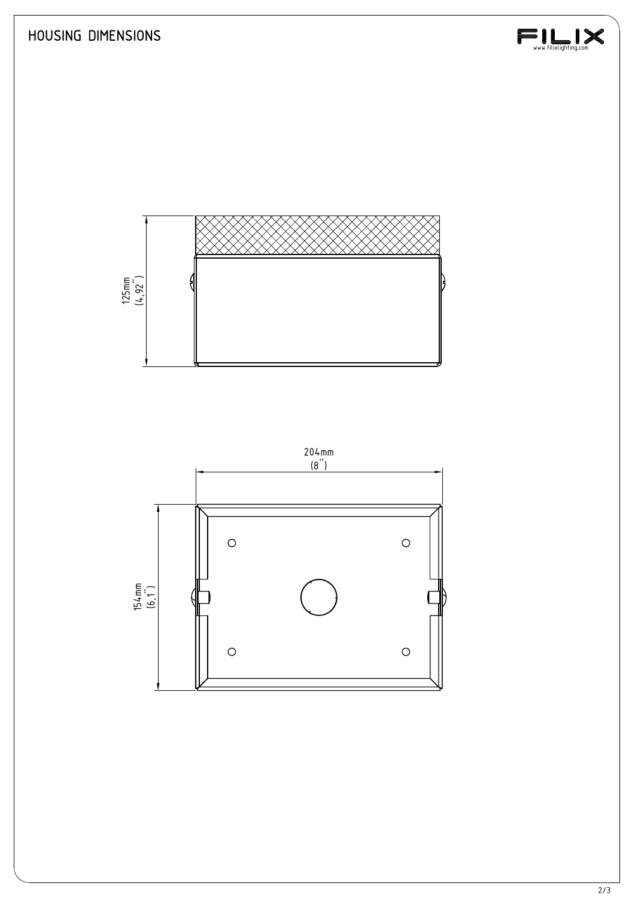